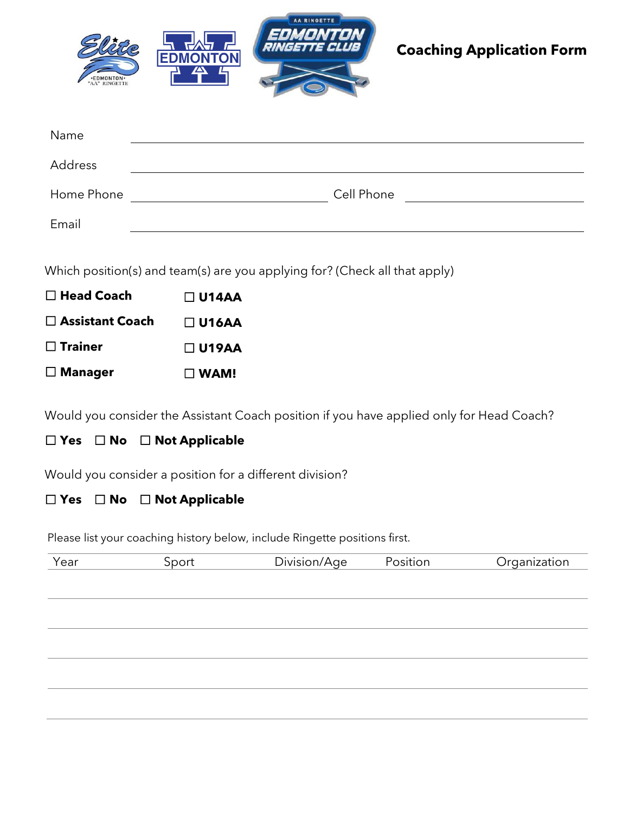

# **Coaching Application Form**

| Name       |            |
|------------|------------|
| Address    |            |
| Home Phone | Cell Phone |
| Email      |            |

Which position(s) and team(s) are you applying for? (Check all that apply)

| $\Box$ Head Coach | $\Box$ U14AA |
|-------------------|--------------|
| □ Assistant Coach | $\Box$ U16AA |
| $\Box$ Trainer    | $\Box$ U19AA |
| $\Box$ Manager    | $\Box$ WAM!  |

Would you consider the Assistant Coach position if you have applied only for Head Coach?

### ☐ **Yes** ☐ **No** ☐ **Not Applicable**

u Manageri Would you consider a position for a different division?

### ☐ **Yes** ☐ **No** ☐ **Not Applicable**

Please list your coaching history below, include Ringette positions first.

| Year | Sport | Division/Age | Position | Organization |
|------|-------|--------------|----------|--------------|
|      |       |              |          |              |
|      |       |              |          |              |
|      |       |              |          |              |
|      |       |              |          |              |
|      |       |              |          |              |
|      |       |              |          |              |
|      |       |              |          |              |
|      |       |              |          |              |
|      |       |              |          |              |
|      |       |              |          |              |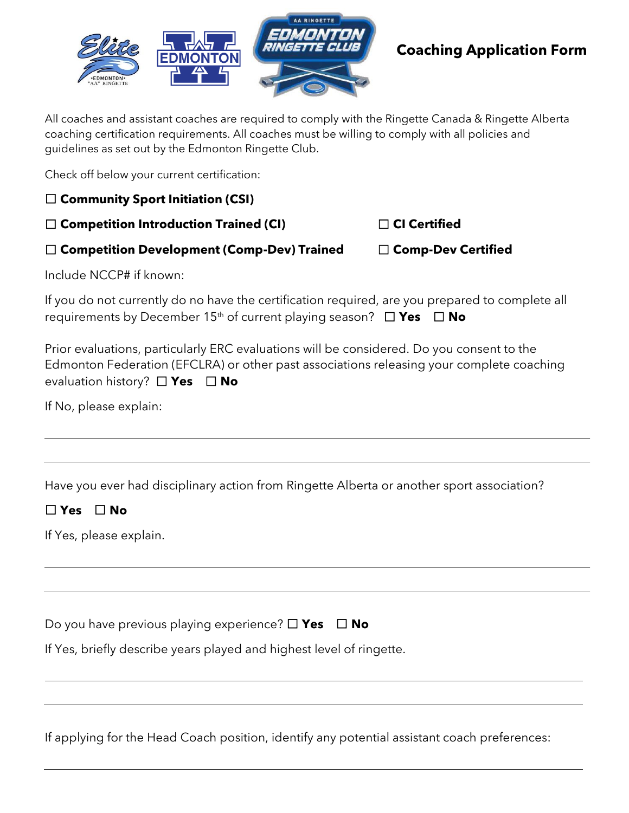

### **Coaching Application Form**

All coaches and assistant coaches are required to comply with the Ringette Canada & Ringette Alberta coaching certification requirements. All coaches must be willing to comply with all policies and guidelines as set out by the Edmonton Ringette Club.

Check off below your current certification:

☐ **Community Sport Initiation (CSI)**

☐ **Competition Introduction Trained (CI)** ☐ **CI Certified**

☐ **Competition Development (Comp-Dev) Trained** ☐ **Comp-Dev Certified** 

Include NCCP# if known:

If you do not currently do no have the certification required, are you prepared to complete all requirements by December 15th of current playing season? ☐ **Yes** ☐ **No** 

Prior evaluations, particularly ERC evaluations will be considered. Do you consent to the Edmonton Federation (EFCLRA) or other past associations releasing your complete coaching evaluation history? ☐ **Yes** ☐ **No** 

If No, please explain:

Have you ever had disciplinary action from Ringette Alberta or another sport association?

### ☐ **Yes** ☐ **No**

If Yes, please explain.

Do you have previous playing experience? ☐ **Yes** ☐ **No** 

If Yes, briefly describe years played and highest level of ringette.

If applying for the Head Coach position, identify any potential assistant coach preferences: